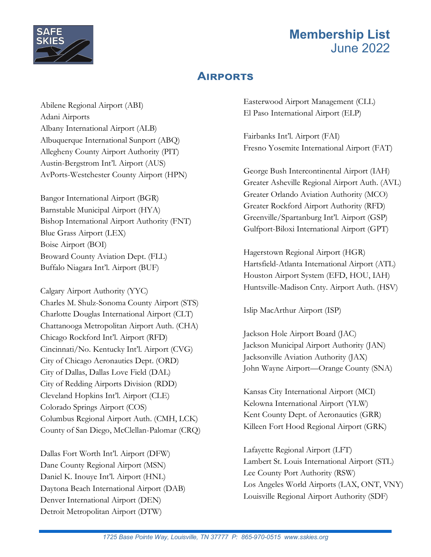

### **AIRPORTS**

Abilene Regional Airport (ABI) Adani Airports Albany International Airport (ALB) Albuquerque International Sunport (ABQ) Allegheny County Airport Authority (PIT) Austin-Bergstrom Int'l. Airport (AUS) AvPorts-Westchester County Airport (HPN)

Bangor International Airport (BGR) Barnstable Municipal Airport (HYA) Bishop International Airport Authority (FNT) Blue Grass Airport (LEX) Boise Airport (BOI) Broward County Aviation Dept. (FLL) Buffalo Niagara Int'l. Airport (BUF)

Calgary Airport Authority (YYC) Charles M. Shulz-Sonoma County Airport (STS) Charlotte Douglas International Airport (CLT) Chattanooga Metropolitan Airport Auth. (CHA) Chicago Rockford Int'l. Airport (RFD) Cincinnati/No. Kentucky Int'l. Airport (CVG) City of Chicago Aeronautics Dept. (ORD) City of Dallas, Dallas Love Field (DAL) City of Redding Airports Division (RDD) Cleveland Hopkins Int'l. Airport (CLE) Colorado Springs Airport (COS) Columbus Regional Airport Auth. (CMH, LCK) County of San Diego, McClellan-Palomar (CRQ)

Dallas Fort Worth Int'l. Airport (DFW) Dane County Regional Airport (MSN) Daniel K. Inouye Int'l. Airport (HNL) Daytona Beach International Airport (DAB) Denver International Airport (DEN) Detroit Metropolitan Airport (DTW)

Easterwood Airport Management (CLL) El Paso International Airport (ELP)

Fairbanks Int'l. Airport (FAI) Fresno Yosemite International Airport (FAT)

George Bush Intercontinental Airport (IAH) Greater Asheville Regional Airport Auth. (AVL) Greater Orlando Aviation Authority (MCO) Greater Rockford Airport Authority (RFD) Greenville/Spartanburg Int'l. Airport (GSP) Gulfport-Biloxi International Airport (GPT)

Hagerstown Regional Airport (HGR) Hartsfield-Atlanta International Airport (ATL) Houston Airport System (EFD, HOU, IAH) Huntsville-Madison Cnty. Airport Auth. (HSV)

Islip MacArthur Airport (ISP)

Jackson Hole Airport Board (JAC) Jackson Municipal Airport Authority (JAN) Jacksonville Aviation Authority (JAX) John Wayne Airport—Orange County (SNA)

Kansas City International Airport (MCI) Kelowna International Airport (YLW) Kent County Dept. of Aeronautics (GRR) Killeen Fort Hood Regional Airport (GRK)

Lafayette Regional Airport (LFT) Lambert St. Louis International Airport (STL) Lee County Port Authority (RSW) Los Angeles World Airports (LAX, ONT, VNY) Louisville Regional Airport Authority (SDF)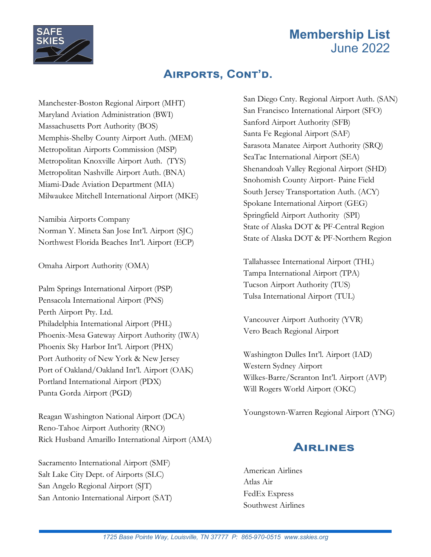

#### AIRPORTS, CONT'D.

Manchester-Boston Regional Airport (MHT) Maryland Aviation Administration (BWI) Massachusetts Port Authority (BOS) Memphis-Shelby County Airport Auth. (MEM) Metropolitan Airports Commission (MSP) Metropolitan Knoxville Airport Auth. (TYS) Metropolitan Nashville Airport Auth. (BNA) Miami-Dade Aviation Department (MIA) Milwaukee Mitchell International Airport (MKE)

Namibia Airports Company Norman Y. Mineta San Jose Int'l. Airport (SJC) Northwest Florida Beaches Int'l. Airport (ECP)

Omaha Airport Authority (OMA)

Palm Springs International Airport (PSP) Pensacola International Airport (PNS) Perth Airport Pty. Ltd. Philadelphia International Airport (PHL) Phoenix-Mesa Gateway Airport Authority (IWA) Phoenix Sky Harbor Int'l. Airport (PHX) Port Authority of New York & New Jersey Port of Oakland/Oakland Int'l. Airport (OAK) Portland International Airport (PDX) Punta Gorda Airport (PGD)

Reagan Washington National Airport (DCA) Reno-Tahoe Airport Authority (RNO) Rick Husband Amarillo International Airport (AMA)

Sacramento International Airport (SMF) Salt Lake City Dept. of Airports (SLC) San Angelo Regional Airport (SJT) San Antonio International Airport (SAT)

San Diego Cnty. Regional Airport Auth. (SAN) San Francisco International Airport (SFO) Sanford Airport Authority (SFB) Santa Fe Regional Airport (SAF) Sarasota Manatee Airport Authority (SRQ) SeaTac International Airport (SEA) Shenandoah Valley Regional Airport (SHD) Snohomish County Airport- Paine Field South Jersey Transportation Auth. (ACY) Spokane International Airport (GEG) Springfield Airport Authority (SPI) State of Alaska DOT & PF-Central Region State of Alaska DOT & PF-Northern Region

Tallahassee International Airport (THL) Tampa International Airport (TPA) Tucson Airport Authority (TUS) Tulsa International Airport (TUL)

Vancouver Airport Authority (YVR) Vero Beach Regional Airport

Washington Dulles Int'l. Airport (IAD) Western Sydney Airport Wilkes-Barre/Scranton Int'l. Airport (AVP) Will Rogers World Airport (OKC)

Youngstown-Warren Regional Airport (YNG)

#### **AIRLINES**

American Airlines Atlas Air FedEx Express Southwest Airlines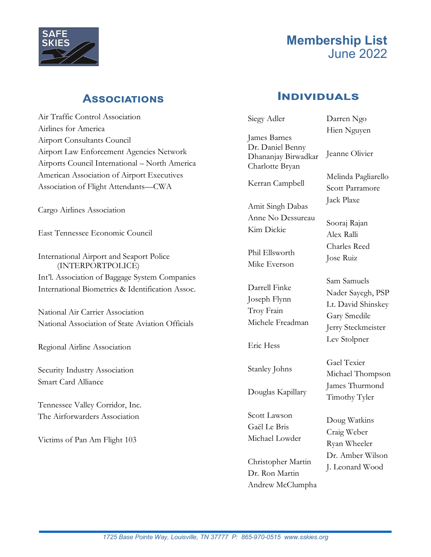

#### **ASSOCIATIONS**

Air Traffic Control Association Airlines for America Airport Consultants Council Airport Law Enforcement Agencies Network Airports Council International – North America American Association of Airport Executives Association of Flight Attendants—CWA

Cargo Airlines Association

East Tennessee Economic Council

International Airport and Seaport Police (INTERPORTPOLICE) Int'l. Association of Baggage System Companies International Biometrics & Identification Assoc.

National Air Carrier Association National Association of State Aviation Officials

Regional Airline Association

Security Industry Association Smart Card Alliance

Tennessee Valley Corridor, Inc. The Airforwarders Association

Victims of Pan Am Flight 103

#### **INDIVIDUALS**

Siegy Adler James Barnes Dr. Daniel Benny Dhananjay Birwadkar Charlotte Bryan Kerran Campbell Amit Singh Dabas Anne No Dessureau Kim Dickie Phil Ellsworth Mike Everson Darrell Finke Joseph Flynn Troy Frain Michele Freadman Eric Hess Stanley Johns Douglas Kapillary Scott Lawson Gaël Le Bris Michael Lowder Darren Ngo Hien Nguyen Jeanne Olivier Melinda Pagliarello Scott Parramore Jack Plaxe Sooraj Rajan Alex Ralli Charles Reed Jose Ruiz Sam Samuels Nader Sayegh, PSP Lt. David Shinskey Gary Smedile Jerry Steckmeister Lev Stolpner Gael Texier Michael Thompson James Thurmond Timothy Tyler Doug Watkins Craig Weber Ryan Wheeler

Christopher Martin Dr. Ron Martin Andrew McClumpha

Dr. Amber Wilson J. Leonard Wood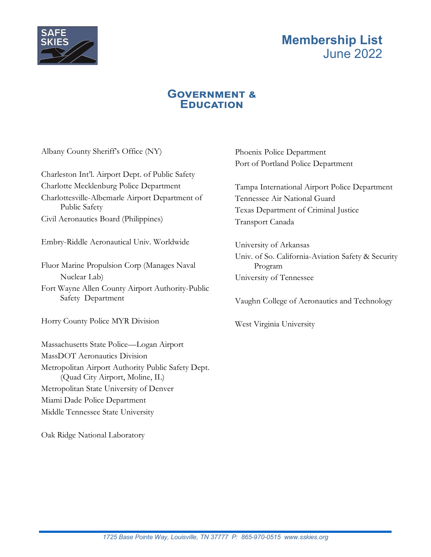

#### **GOVERNMENT & EDUCATION**

Albany County Sheriff's Office (NY)

Charleston Int'l. Airport Dept. of Public Safety Charlotte Mecklenburg Police Department Charlottesville-Albemarle Airport Department of Public Safety Civil Aeronautics Board (Philippines)

Embry-Riddle Aeronautical Univ. Worldwide

Fluor Marine Propulsion Corp (Manages Naval Nuclear Lab)

Fort Wayne Allen County Airport Authority-Public Safety Department

Horry County Police MYR Division

Massachusetts State Police—Logan Airport MassDOT Aeronautics Division Metropolitan Airport Authority Public Safety Dept. (Quad City Airport, Moline, IL) Metropolitan State University of Denver Miami Dade Police Department Middle Tennessee State University

Oak Ridge National Laboratory

Phoenix Police Department Port of Portland Police Department

Tampa International Airport Police Department Tennessee Air National Guard Texas Department of Criminal Justice Transport Canada

University of Arkansas Univ. of So. California-Aviation Safety & Security Program University of Tennessee

Vaughn College of Aeronautics and Technology

West Virginia University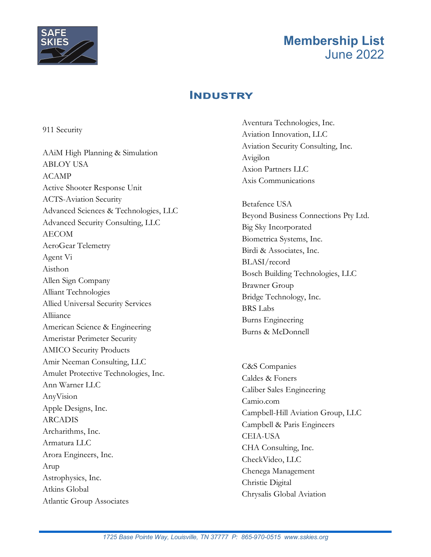

#### **INDUSTRY**

911 Security

AAiM High Planning & Simulation ABLOY USA ACAMP Active Shooter Response Unit ACTS-Aviation Security Advanced Sciences & Technologies, LLC Advanced Security Consulting, LLC AECOM AeroGear Telemetry Agent Vi Aisthon Allen Sign Company Alliant Technologies Allied Universal Security Services Alliiance American Science & Engineering Ameristar Perimeter Security AMICO Security Products Amir Neeman Consulting, LLC Amulet Protective Technologies, Inc. Ann Warner LLC AnyVision Apple Designs, Inc. ARCADIS Archarithms, Inc. Armatura LLC Arora Engineers, Inc. Arup Astrophysics, Inc. Atkins Global Atlantic Group Associates

Aventura Technologies, Inc. Aviation Innovation, LLC Aviation Security Consulting, Inc. Avigilon Axion Partners LLC Axis Communications

Betafence USA Beyond Business Connections Pty Ltd. Big Sky Incorporated Biometrica Systems, Inc. Birdi & Associates, Inc. BLASI/record Bosch Building Technologies, LLC Brawner Group Bridge Technology, Inc. BRS Labs Burns Engineering Burns & McDonnell

C&S Companies Caldes & Foners Caliber Sales Engineering Camio.com Campbell-Hill Aviation Group, LLC Campbell & Paris Engineers CEIA-USA CHA Consulting, Inc. CheckVideo, LLC Chenega Management Christie Digital Chrysalis Global Aviation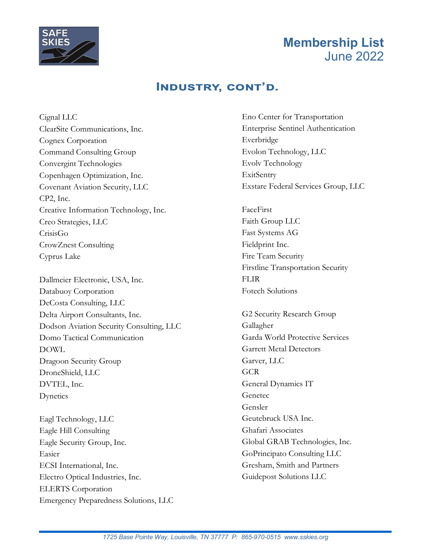

#### **INDUSTRY, CONT'D.**

Cignal LLC ClearSite Communications, Inc. Cognex Corporation Command Consulting Group Convergint Technologies Copenhagen Optimization, Inc. Covenant Aviation Security, LLC CP2, Inc. Creative Information Technology, Inc. Creo Strategies, LLC CrisisGo CrowZnest Consulting Cyprus Lake

Dallmeier Electronic, USA, Inc. Databuoy Corporation DeCosta Consulting, LLC Delta Airport Consultants, Inc. Dodson Aviation Security Consulting, LLC Domo Tactical Communication DOWL Dragoon Security Group DroneShield, LLC DVTEL, Inc. Dynetics

Eagl Technology, LLC Eagle Hill Consulting Eagle Security Group, Inc. Easier ECSI International, Inc. Electro Optical Industries, Inc. ELERTS Corporation Emergency Preparedness Solutions, LLC Eno Center for Transportation Enterprise Sentinel Authentication Everbridge Evolon Technology, LLC Evolv Technology ExitSentry Exstare Federal Services Group, LLC

FaceFirst Faith Group LLC Fast Systems AG Fieldprint Inc. Fire Team Security Firstline Transportation Security **FLIR** Fotech Solutions

G2 Security Research Group Gallagher Garda World Protective Services Garrett Metal Detectors Garver, LLC **GCR** General Dynamics IT Genetec Gensler Geutebruck USA Inc. Ghafari Associates Global GRAB Technologies, Inc. GoPrincipato Consulting LLC Gresham, Smith and Partners Guidepost Solutions LLC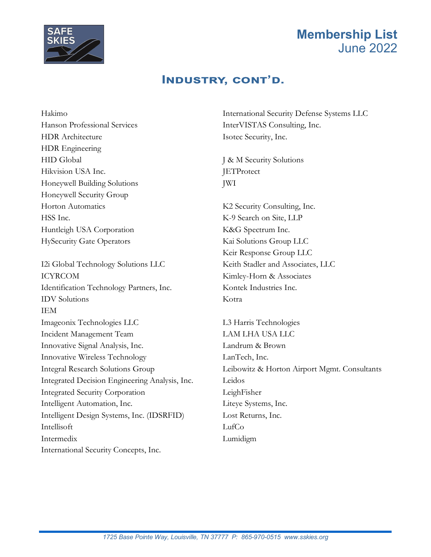

#### **INDUSTRY, CONT'D.**

Hakimo Hanson Professional Services HDR Architecture HDR Engineering HID Global Hikvision USA Inc. Honeywell Building Solutions Honeywell Security Group Horton Automatics HSS Inc. Huntleigh USA Corporation HySecurity Gate Operators

I2i Global Technology Solutions LLC ICYRCOM Identification Technology Partners, Inc. IDV Solutions IEM Imageonix Technologies LLC Incident Management Team Innovative Signal Analysis, Inc. Innovative Wireless Technology Integral Research Solutions Group Integrated Decision Engineering Analysis, Inc. Integrated Security Corporation Intelligent Automation, Inc. Intelligent Design Systems, Inc. (IDSRFID) Intellisoft Intermedix International Security Concepts, Inc.

International Security Defense Systems LLC InterVISTAS Consulting, Inc. Isotec Security, Inc.

J & M Security Solutions **JETProtect** JWI

K2 Security Consulting, Inc. K-9 Search on Site, LLP K&G Spectrum Inc. Kai Solutions Group LLC Keir Response Group LLC Keith Stadler and Associates, LLC Kimley-Horn & Associates Kontek Industries Inc. Kotra

L3 Harris Technologies LAM LHA USA LLC Landrum & Brown LanTech, Inc. Leibowitz & Horton Airport Mgmt. Consultants Leidos LeighFisher Liteye Systems, Inc. Lost Returns, Inc. LufCo Lumidigm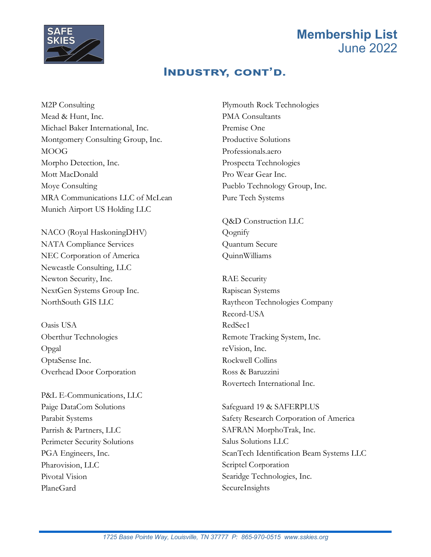

#### **INDUSTRY, CONT'D.**

M2P Consulting Mead & Hunt, Inc. Michael Baker International, Inc. Montgomery Consulting Group, Inc. MOOG Morpho Detection, Inc. Mott MacDonald Moye Consulting MRA Communications LLC of McLean Munich Airport US Holding LLC

NACO (Royal HaskoningDHV) NATA Compliance Services NEC Corporation of America Newcastle Consulting, LLC Newton Security, Inc. NextGen Systems Group Inc. NorthSouth GIS LLC

Oasis USA Oberthur Technologies Opgal OptaSense Inc. Overhead Door Corporation

P&L E-Communications, LLC Paige DataCom Solutions Parabit Systems Parrish & Partners, LLC Perimeter Security Solutions PGA Engineers, Inc. Pharovision, LLC Pivotal Vision PlaneGard

Plymouth Rock Technologies PMA Consultants Premise One Productive Solutions Professionals.aero Prospecta Technologies Pro Wear Gear Inc. Pueblo Technology Group, Inc. Pure Tech Systems

Q&D Construction LLC Qognify Quantum Secure QuinnWilliams

RAE Security Rapiscan Systems Raytheon Technologies Company Record-USA RedSec1 Remote Tracking System, Inc. reVision, Inc. Rockwell Collins Ross & Baruzzini Rovertech International Inc.

Safeguard 19 & SAFERPLUS Safety Research Corporation of America SAFRAN MorphoTrak, Inc. Salus Solutions LLC ScanTech Identification Beam Systems LLC Scriptel Corporation Searidge Technologies, Inc. SecureInsights